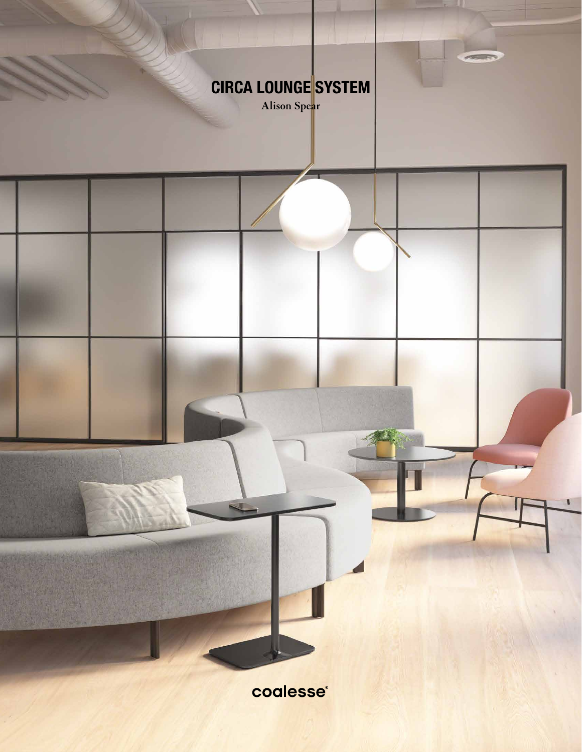## CIRCA LOUNGE SYSTEM

**Alison Spear** 

coalesse®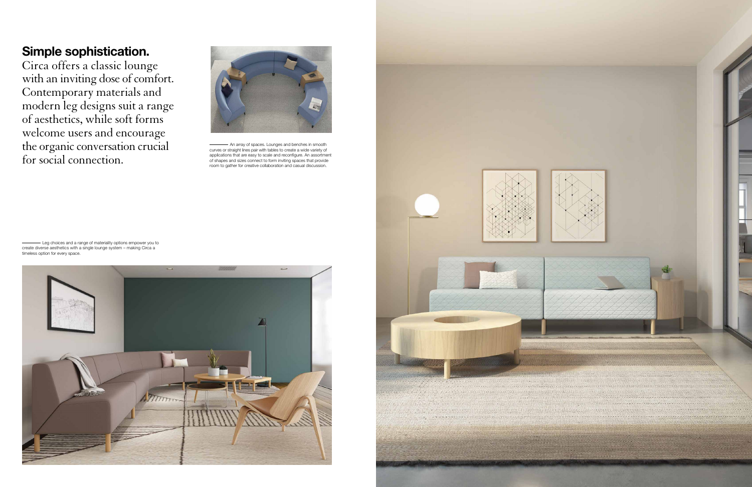# Simple sophistication.

Circa offers a classic lounge with an inviting dose of comfort. Contemporary materials and modern leg designs suit a range of aesthetics, while soft forms welcome users and encourage the organic conversation crucial for social connection.

Leg choices and a range of materiality options empower you to create diverse aesthetics with a single lounge system – making Circa a timeless option for every space.







An array of spaces. Lounges and benches in smooth curves or straight lines pair with tables to create a wide variety of applications that are easy to scale and reconfgure. An assortment of shapes and sizes connect to form inviting spaces that provide room to gather for creative collaboration and casual discussion.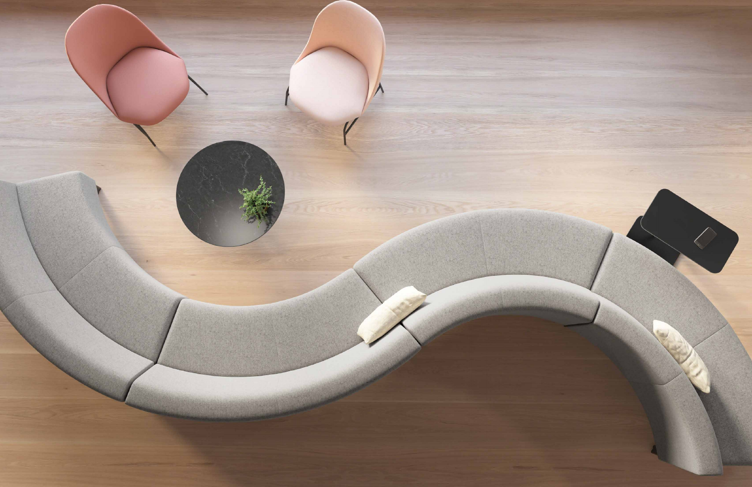